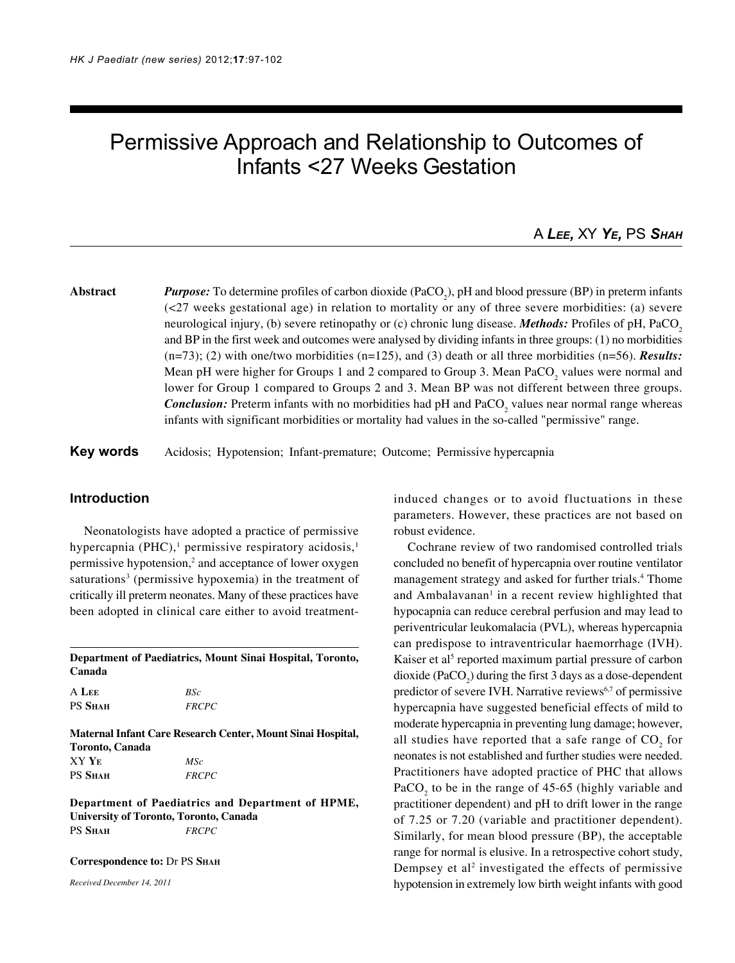# Permissive Approach and Relationship to Outcomes of Infants <27 Weeks Gestation

## A *LEE,* XY *YE,* PS *SHAH*

**Abstract** *Purpose:* To determine profiles of carbon dioxide (PaCO<sub>2</sub>), pH and blood pressure (BP) in preterm infants (<27 weeks gestational age) in relation to mortality or any of three severe morbidities: (a) severe neurological injury, (b) severe retinopathy or (c) chronic lung disease. *Methods:* Profiles of pH, PaCO<sub>2</sub> and BP in the first week and outcomes were analysed by dividing infants in three groups: (1) no morbidities  $(n=73)$ ; (2) with one/two morbidities  $(n=125)$ , and (3) death or all three morbidities  $(n=56)$ . **Results:** Mean pH were higher for Groups 1 and 2 compared to Group 3. Mean  $PaCO_2$  values were normal and lower for Group 1 compared to Groups 2 and 3. Mean BP was not different between three groups. **Conclusion:** Preterm infants with no morbidities had pH and  $PaCO<sub>2</sub>$  values near normal range whereas infants with significant morbidities or mortality had values in the so-called "permissive" range.

**Key words** Acidosis; Hypotension; Infant-premature; Outcome; Permissive hypercapnia

#### **Introduction**

Neonatologists have adopted a practice of permissive hypercapnia  $(PHC),$ <sup>1</sup> permissive respiratory acidosis,<sup>1</sup> permissive hypotension,<sup>2</sup> and acceptance of lower oxygen saturations<sup>3</sup> (permissive hypoxemia) in the treatment of critically ill preterm neonates. Many of these practices have been adopted in clinical care either to avoid treatment-

**Department of Paediatrics, Mount Sinai Hospital, Toronto, Canada**

| A LEE          | BSc          |
|----------------|--------------|
| <b>PS SHAH</b> | <i>FRCPC</i> |

**Maternal Infant Care Research Center, Mount Sinai Hospital, Toronto, Canada** XY **YE** *MSc* PS **SHAH** *FRCPC*

**Department of Paediatrics and Department of HPME, University of Toronto, Toronto, Canada** PS **SHAH** *FRCPC*

**Correspondence to:** Dr PS **SHAH**

*Received December 14, 2011*

induced changes or to avoid fluctuations in these parameters. However, these practices are not based on robust evidence.

Cochrane review of two randomised controlled trials concluded no benefit of hypercapnia over routine ventilator management strategy and asked for further trials.<sup>4</sup> Thome and Ambalavanan<sup>1</sup> in a recent review highlighted that hypocapnia can reduce cerebral perfusion and may lead to periventricular leukomalacia (PVL), whereas hypercapnia can predispose to intraventricular haemorrhage (IVH). Kaiser et al<sup>5</sup> reported maximum partial pressure of carbon dioxide (PaCO<sub>2</sub>) during the first 3 days as a dose-dependent predictor of severe IVH. Narrative reviews<sup>6,7</sup> of permissive hypercapnia have suggested beneficial effects of mild to moderate hypercapnia in preventing lung damage; however, all studies have reported that a safe range of  $CO<sub>2</sub>$  for neonates is not established and further studies were needed. Practitioners have adopted practice of PHC that allows PaCO<sub>2</sub> to be in the range of 45-65 (highly variable and practitioner dependent) and pH to drift lower in the range of 7.25 or 7.20 (variable and practitioner dependent). Similarly, for mean blood pressure (BP), the acceptable range for normal is elusive. In a retrospective cohort study, Dempsey et al<sup>2</sup> investigated the effects of permissive hypotension in extremely low birth weight infants with good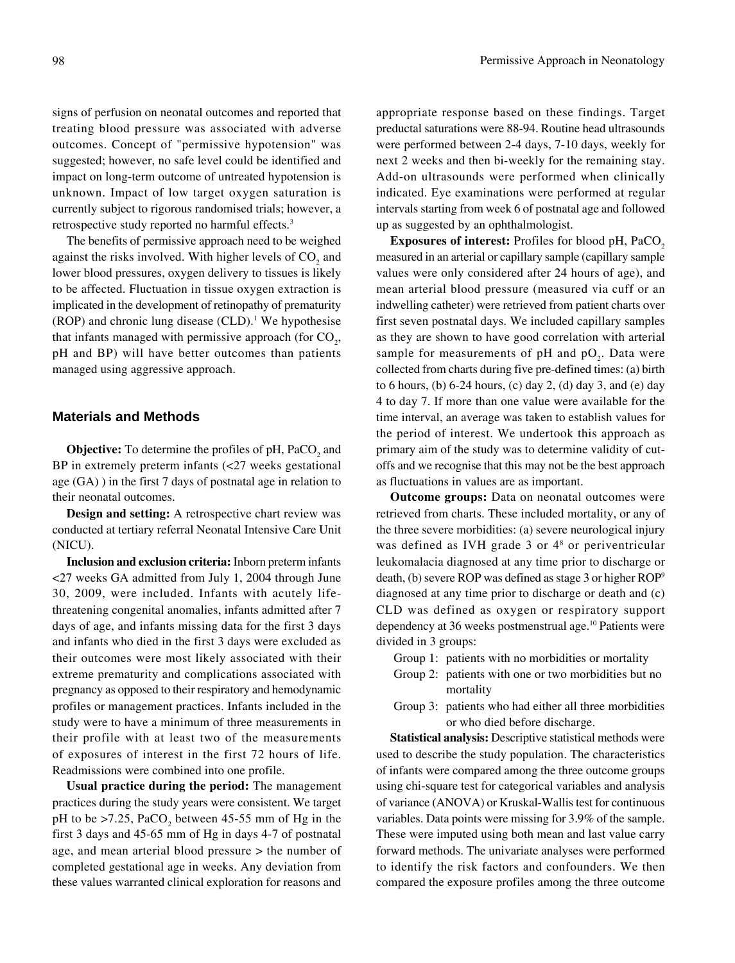signs of perfusion on neonatal outcomes and reported that treating blood pressure was associated with adverse outcomes. Concept of "permissive hypotension" was suggested; however, no safe level could be identified and impact on long-term outcome of untreated hypotension is unknown. Impact of low target oxygen saturation is currently subject to rigorous randomised trials; however, a retrospective study reported no harmful effects.3

The benefits of permissive approach need to be weighed against the risks involved. With higher levels of  $CO<sub>2</sub>$  and lower blood pressures, oxygen delivery to tissues is likely to be affected. Fluctuation in tissue oxygen extraction is implicated in the development of retinopathy of prematurity  $(ROP)$  and chronic lung disease  $(CLD)$ .<sup>1</sup> We hypothesise that infants managed with permissive approach (for  $CO<sub>2</sub>$ , pH and BP) will have better outcomes than patients managed using aggressive approach.

## **Materials and Methods**

**Objective:** To determine the profiles of pH, PaCO<sub>2</sub> and BP in extremely preterm infants (<27 weeks gestational age (GA) ) in the first 7 days of postnatal age in relation to their neonatal outcomes.

**Design and setting:** A retrospective chart review was conducted at tertiary referral Neonatal Intensive Care Unit (NICU).

**Inclusion and exclusion criteria:** Inborn preterm infants <27 weeks GA admitted from July 1, 2004 through June 30, 2009, were included. Infants with acutely lifethreatening congenital anomalies, infants admitted after 7 days of age, and infants missing data for the first 3 days and infants who died in the first 3 days were excluded as their outcomes were most likely associated with their extreme prematurity and complications associated with pregnancy as opposed to their respiratory and hemodynamic profiles or management practices. Infants included in the study were to have a minimum of three measurements in their profile with at least two of the measurements of exposures of interest in the first 72 hours of life. Readmissions were combined into one profile.

**Usual practice during the period:** The management practices during the study years were consistent. We target pH to be  $>7.25$ , PaCO<sub>2</sub> between 45-55 mm of Hg in the first 3 days and 45-65 mm of Hg in days 4-7 of postnatal age, and mean arterial blood pressure > the number of completed gestational age in weeks. Any deviation from these values warranted clinical exploration for reasons and

appropriate response based on these findings. Target preductal saturations were 88-94. Routine head ultrasounds were performed between 2-4 days, 7-10 days, weekly for next 2 weeks and then bi-weekly for the remaining stay. Add-on ultrasounds were performed when clinically indicated. Eye examinations were performed at regular intervals starting from week 6 of postnatal age and followed up as suggested by an ophthalmologist.

**Exposures of interest:** Profiles for blood pH, PaCO<sub>2</sub> measured in an arterial or capillary sample (capillary sample values were only considered after 24 hours of age), and mean arterial blood pressure (measured via cuff or an indwelling catheter) were retrieved from patient charts over first seven postnatal days. We included capillary samples as they are shown to have good correlation with arterial sample for measurements of pH and  $pO_2$ . Data were collected from charts during five pre-defined times: (a) birth to 6 hours, (b) 6-24 hours, (c) day 2, (d) day 3, and (e) day 4 to day 7. If more than one value were available for the time interval, an average was taken to establish values for the period of interest. We undertook this approach as primary aim of the study was to determine validity of cutoffs and we recognise that this may not be the best approach as fluctuations in values are as important.

**Outcome groups:** Data on neonatal outcomes were retrieved from charts. These included mortality, or any of the three severe morbidities: (a) severe neurological injury was defined as IVH grade 3 or 4<sup>8</sup> or periventricular leukomalacia diagnosed at any time prior to discharge or death, (b) severe ROP was defined as stage 3 or higher ROP9 diagnosed at any time prior to discharge or death and (c) CLD was defined as oxygen or respiratory support dependency at 36 weeks postmenstrual age.<sup>10</sup> Patients were divided in 3 groups:

- Group 1: patients with no morbidities or mortality
- Group 2: patients with one or two morbidities but no mortality
- Group 3: patients who had either all three morbidities or who died before discharge.

**Statistical analysis:** Descriptive statistical methods were used to describe the study population. The characteristics of infants were compared among the three outcome groups using chi-square test for categorical variables and analysis of variance (ANOVA) or Kruskal-Wallis test for continuous variables. Data points were missing for 3.9% of the sample. These were imputed using both mean and last value carry forward methods. The univariate analyses were performed to identify the risk factors and confounders. We then compared the exposure profiles among the three outcome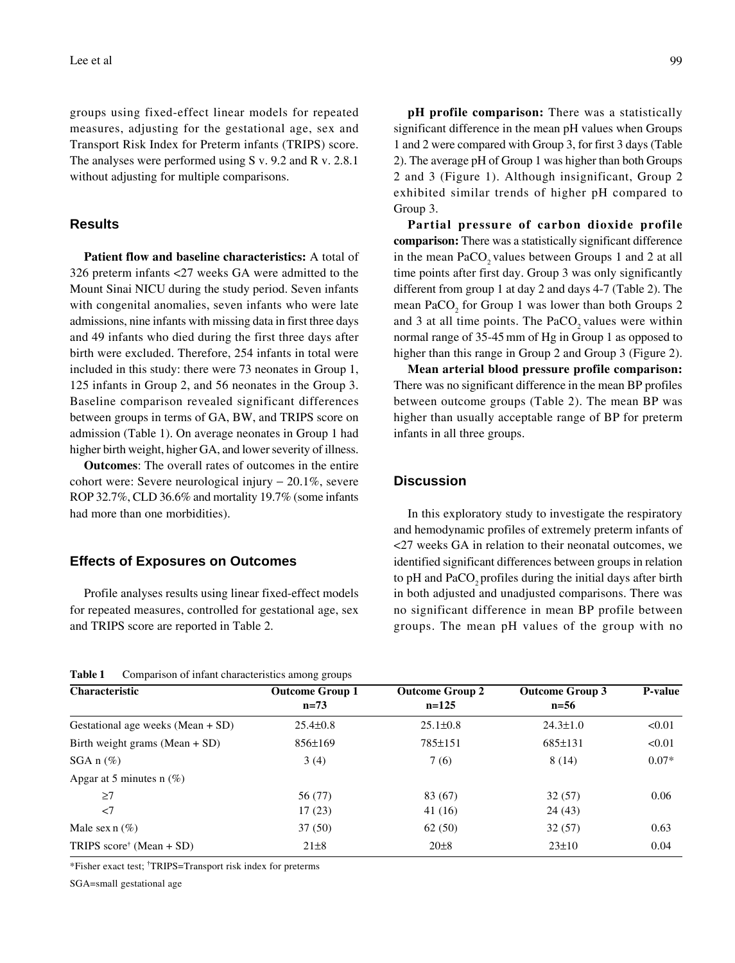groups using fixed-effect linear models for repeated measures, adjusting for the gestational age, sex and Transport Risk Index for Preterm infants (TRIPS) score. The analyses were performed using S v. 9.2 and R v. 2.8.1 without adjusting for multiple comparisons.

#### **Results**

**Patient flow and baseline characteristics:** A total of 326 preterm infants <27 weeks GA were admitted to the Mount Sinai NICU during the study period. Seven infants with congenital anomalies, seven infants who were late admissions, nine infants with missing data in first three days and 49 infants who died during the first three days after birth were excluded. Therefore, 254 infants in total were included in this study: there were 73 neonates in Group 1, 125 infants in Group 2, and 56 neonates in the Group 3. Baseline comparison revealed significant differences between groups in terms of GA, BW, and TRIPS score on admission (Table 1). On average neonates in Group 1 had higher birth weight, higher GA, and lower severity of illness.

**Outcomes**: The overall rates of outcomes in the entire cohort were: Severe neurological injury − 20.1%, severe ROP 32.7%, CLD 36.6% and mortality 19.7% (some infants had more than one morbidities).

#### **Effects of Exposures on Outcomes**

Profile analyses results using linear fixed-effect models for repeated measures, controlled for gestational age, sex and TRIPS score are reported in Table 2.

| <b>Table 1</b> |  |  | Comparison of infant characteristics among groups |  |  |
|----------------|--|--|---------------------------------------------------|--|--|
|----------------|--|--|---------------------------------------------------|--|--|

**pH profile comparison:** There was a statistically significant difference in the mean pH values when Groups 1 and 2 were compared with Group 3, for first 3 days (Table 2). The average pH of Group 1 was higher than both Groups 2 and 3 (Figure 1). Although insignificant, Group 2 exhibited similar trends of higher pH compared to Group 3.

**Partial pressure of carbon dioxide profile comparison:** There was a statistically significant difference in the mean PaCO<sub>2</sub> values between Groups 1 and 2 at all time points after first day. Group 3 was only significantly different from group 1 at day 2 and days 4-7 (Table 2). The mean  $PaCO<sub>2</sub>$  for Group 1 was lower than both Groups 2 and  $3$  at all time points. The PaCO<sub>2</sub> values were within normal range of 35-45mm of Hg in Group 1 as opposed to higher than this range in Group 2 and Group 3 (Figure 2).

**Mean arterial blood pressure profile comparison:** There was no significant difference in the mean BP profiles between outcome groups (Table 2). The mean BP was higher than usually acceptable range of BP for preterm infants in all three groups.

## **Discussion**

In this exploratory study to investigate the respiratory and hemodynamic profiles of extremely preterm infants of <27 weeks GA in relation to their neonatal outcomes, we identified significant differences between groups in relation to pH and PaCO<sub>2</sub> profiles during the initial days after birth in both adjusted and unadjusted comparisons. There was no significant difference in mean BP profile between groups. The mean pH values of the group with no

| <b>Characteristic</b>               | <b>Outcome Group 1</b> | <b>Outcome Group 2</b> | <b>Outcome Group 3</b> | <b>P-value</b> |
|-------------------------------------|------------------------|------------------------|------------------------|----------------|
|                                     | $n=73$                 | $n=125$                | $n=56$                 |                |
| Gestational age weeks (Mean + SD)   | $25.4 \pm 0.8$         | $25.1 \pm 0.8$         | $24.3 \pm 1.0$         | < 0.01         |
| Birth weight grams (Mean $+$ SD)    | $856 \pm 169$          | 785±151                | $685 \pm 131$          | < 0.01         |
| $SGA n (\%)$                        | 3(4)                   | 7(6)                   | 8(14)                  | $0.07*$        |
| Apgar at 5 minutes n $(\%)$         |                        |                        |                        |                |
| $\geq$ 7                            | 56 (77)                | 83 (67)                | 32(57)                 | 0.06           |
| $<$ 7                               | 17(23)                 | 41 (16)                | 24(43)                 |                |
| Male sex $n$ (%)                    | 37(50)                 | 62(50)                 | 32(57)                 | 0.63           |
| TRIPS $score^{\dagger}$ (Mean + SD) | $21 \pm 8$             | 20 <sub>±8</sub>       | $23 \pm 10$            | 0.04           |

\*Fisher exact test; † TRIPS=Transport risk index for preterms

SGA=small gestational age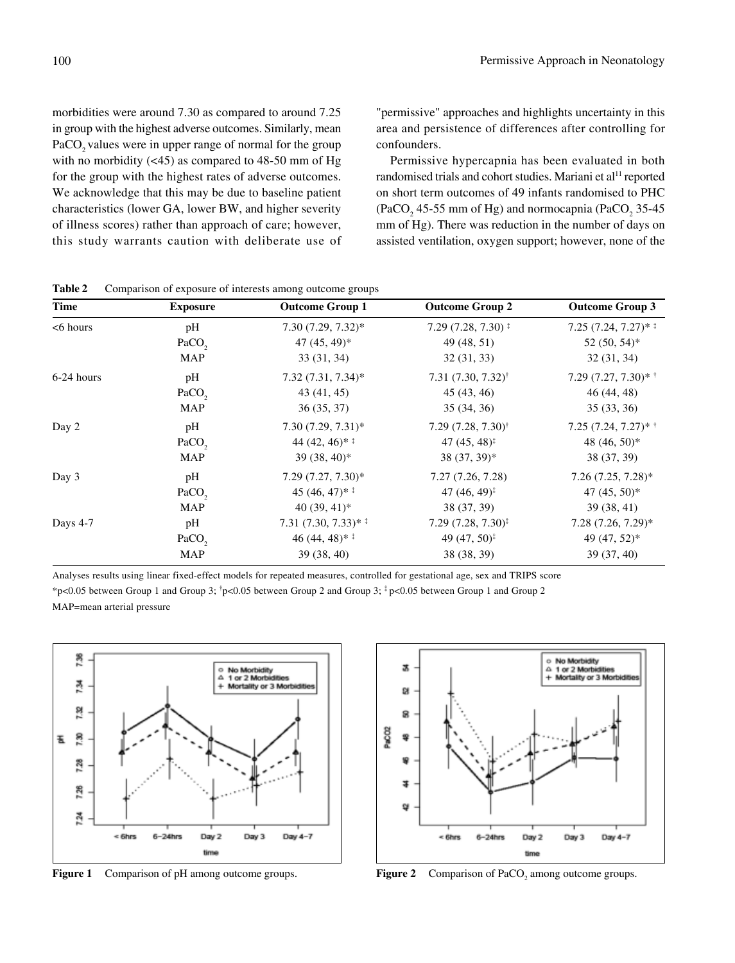morbidities were around 7.30 as compared to around 7.25 in group with the highest adverse outcomes. Similarly, mean PaCO<sub>2</sub> values were in upper range of normal for the group with no morbidity  $( $45$ )$  as compared to  $48-50$  mm of Hg for the group with the highest rates of adverse outcomes. We acknowledge that this may be due to baseline patient characteristics (lower GA, lower BW, and higher severity of illness scores) rather than approach of care; however, this study warrants caution with deliberate use of

"permissive" approaches and highlights uncertainty in this area and persistence of differences after controlling for confounders.

Permissive hypercapnia has been evaluated in both randomised trials and cohort studies. Mariani et al<sup>11</sup> reported on short term outcomes of 49 infants randomised to PHC (PaCO<sub>2</sub> 45-55 mm of Hg) and normocapnia (PaCO<sub>2</sub> 35-45 mm of Hg). There was reduction in the number of days on assisted ventilation, oxygen support; however, none of the

| <b>Time</b> | <b>Exposure</b>   | <b>Outcome Group 1</b>     | <b>Outcome Group 2</b>                       | <b>Outcome Group 3</b>  |
|-------------|-------------------|----------------------------|----------------------------------------------|-------------------------|
| $<$ 6 hours | pH                | $7.30(7.29, 7.32)^*$       | $7.29(7.28, 7.30)$ <sup>‡</sup>              | $7.25(7.24, 7.27)^{*}$  |
|             | PaCO <sub>2</sub> | $47(45, 49)^*$             | 49 (48, 51)                                  | $52(50, 54)^*$          |
|             | <b>MAP</b>        | 33(31, 34)                 | 32(31, 33)                                   | 32(31, 34)              |
| 6-24 hours  | pH                | $7.32(7.31, 7.34)^*$       | 7.31 $(7.30, 7.32)$ <sup>†</sup>             | 7.29 $(7.27, 7.30)$ * † |
|             | PaCO <sub>2</sub> | 43 (41, 45)                | 45(43, 46)                                   | 46 (44, 48)             |
|             | MAP               | 36(35, 37)                 | 35(34, 36)                                   | 35(33, 36)              |
| Day 2       | pH                | $7.30(7.29, 7.31)^*$       | $7.29(7.28, 7.30)$ <sup>†</sup>              | 7.25 $(7.24, 7.27)$ * † |
|             | PaCO <sub>2</sub> | 44 $(42, 46)$ <sup>*</sup> | 47 $(45, 48)^{\ddagger}$                     | 48 (46, 50)*            |
|             | <b>MAP</b>        | $39(38, 40)^*$             | $38(37, 39)^*$                               | 38 (37, 39)             |
| Day 3       | pH                | $7.29 (7.27, 7.30)^*$      | 7.27(7.26, 7.28)                             | $7.26(7.25, 7.28)^*$    |
|             | PaCO <sub>2</sub> | 45 $(46, 47)$ <sup>*</sup> | 47 $(46, 49)^{\ddagger}$                     | 47 $(45, 50)$ *         |
|             | <b>MAP</b>        | 40 $(39, 41)^*$            | 38 (37, 39)                                  | 39 (38, 41)             |
| Days 4-7    | pH                | $7.31(7.30, 7.33)*1$       | $7.29 (7.28, 7.30)^{\ddagger}$               | $7.28$ $(7.26, 7.29)$ * |
|             | PaCO <sub>2</sub> | 46 $(44, 48)$ <sup>*</sup> | 49 (47, 50) <sup><math>\ddagger</math></sup> | 49 (47, 52)*            |
|             | <b>MAP</b>        | 39(38, 40)                 | 38 (38, 39)                                  | 39(37, 40)              |

| <b>Table 2</b> | $\sim$ Comparison of exposure of interests among outcome groups |  |  |  |  |  |
|----------------|-----------------------------------------------------------------|--|--|--|--|--|
|----------------|-----------------------------------------------------------------|--|--|--|--|--|

Analyses results using linear fixed-effect models for repeated measures, controlled for gestational age, sex and TRIPS score

\*p<0.05 between Group 1 and Group 3;  $\uparrow$ p<0.05 between Group 2 and Group 3;  $\uparrow$ p<0.05 between Group 1 and Group 2

MAP=mean arterial pressure



**Figure 1** Comparison of pH among outcome groups.



Figure 2 Comparison of PaCO<sub>2</sub> among outcome groups.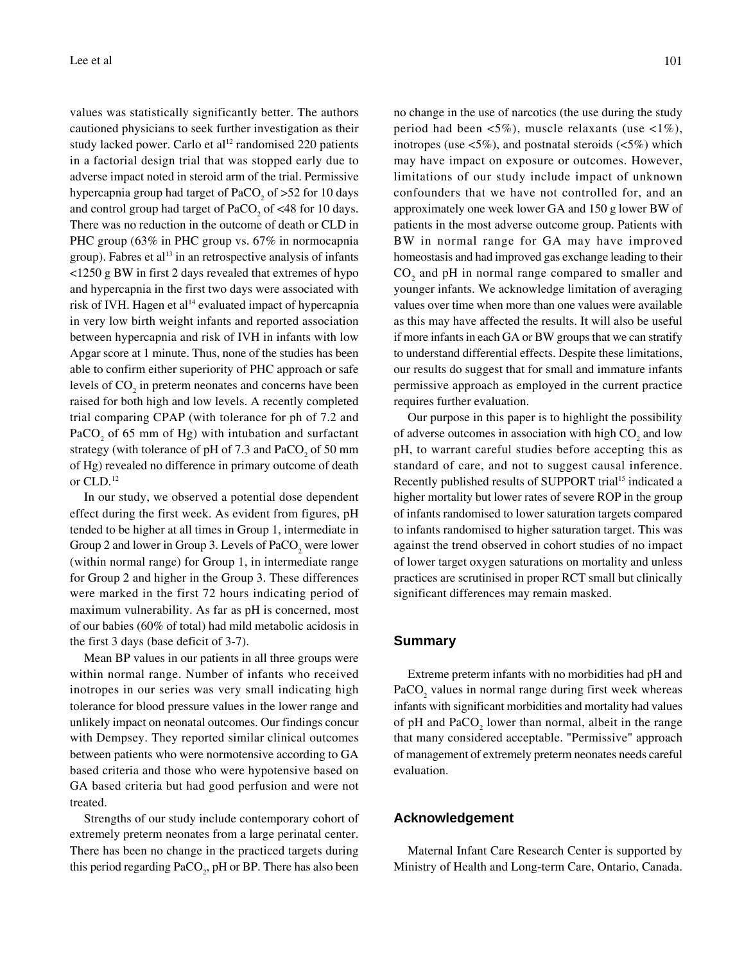values was statistically significantly better. The authors cautioned physicians to seek further investigation as their study lacked power. Carlo et al<sup>12</sup> randomised 220 patients in a factorial design trial that was stopped early due to adverse impact noted in steroid arm of the trial. Permissive hypercapnia group had target of  $PaCO<sub>2</sub>$  of  $>52$  for 10 days and control group had target of  $PaCO<sub>2</sub>$  of <48 for 10 days. There was no reduction in the outcome of death or CLD in PHC group (63% in PHC group vs. 67% in normocapnia group). Fabres et al<sup>13</sup> in an retrospective analysis of infants <1250 g BW in first 2 days revealed that extremes of hypo and hypercapnia in the first two days were associated with risk of IVH. Hagen et al<sup>14</sup> evaluated impact of hypercapnia in very low birth weight infants and reported association between hypercapnia and risk of IVH in infants with low Apgar score at 1 minute. Thus, none of the studies has been able to confirm either superiority of PHC approach or safe levels of  $CO<sub>2</sub>$  in preterm neonates and concerns have been raised for both high and low levels. A recently completed trial comparing CPAP (with tolerance for ph of 7.2 and PaCO<sub>2</sub> of 65 mm of Hg) with intubation and surfactant strategy (with tolerance of pH of  $7.3$  and  $PaCO<sub>2</sub>$  of  $50$  mm of Hg) revealed no difference in primary outcome of death or CLD.12

In our study, we observed a potential dose dependent effect during the first week. As evident from figures, pH tended to be higher at all times in Group 1, intermediate in Group 2 and lower in Group 3. Levels of  $\text{PaCO}_2$  were lower (within normal range) for Group 1, in intermediate range for Group 2 and higher in the Group 3. These differences were marked in the first 72 hours indicating period of maximum vulnerability. As far as pH is concerned, most of our babies (60% of total) had mild metabolic acidosis in the first 3 days (base deficit of 3-7).

Mean BP values in our patients in all three groups were within normal range. Number of infants who received inotropes in our series was very small indicating high tolerance for blood pressure values in the lower range and unlikely impact on neonatal outcomes. Our findings concur with Dempsey. They reported similar clinical outcomes between patients who were normotensive according to GA based criteria and those who were hypotensive based on GA based criteria but had good perfusion and were not treated.

Strengths of our study include contemporary cohort of extremely preterm neonates from a large perinatal center. There has been no change in the practiced targets during this period regarding  $PaCO<sub>2</sub>$ , pH or BP. There has also been

no change in the use of narcotics (the use during the study period had been  $\langle 5\% \rangle$ , muscle relaxants (use  $\langle 1\% \rangle$ , inotropes (use  $\langle 5\% \rangle$ , and postnatal steroids ( $\langle 5\% \rangle$ ) which may have impact on exposure or outcomes. However, limitations of our study include impact of unknown confounders that we have not controlled for, and an approximately one week lower GA and 150 g lower BW of patients in the most adverse outcome group. Patients with BW in normal range for GA may have improved homeostasis and had improved gas exchange leading to their  $CO<sub>2</sub>$  and pH in normal range compared to smaller and younger infants. We acknowledge limitation of averaging values over time when more than one values were available as this may have affected the results. It will also be useful if more infants in each GA or BW groups that we can stratify to understand differential effects. Despite these limitations, our results do suggest that for small and immature infants permissive approach as employed in the current practice requires further evaluation.

Our purpose in this paper is to highlight the possibility of adverse outcomes in association with high  $CO<sub>2</sub>$  and low pH, to warrant careful studies before accepting this as standard of care, and not to suggest causal inference. Recently published results of SUPPORT trial<sup>15</sup> indicated a higher mortality but lower rates of severe ROP in the group of infants randomised to lower saturation targets compared to infants randomised to higher saturation target. This was against the trend observed in cohort studies of no impact of lower target oxygen saturations on mortality and unless practices are scrutinised in proper RCT small but clinically significant differences may remain masked.

#### **Summary**

Extreme preterm infants with no morbidities had pH and PaCO<sub>2</sub> values in normal range during first week whereas infants with significant morbidities and mortality had values of pH and  $PaCO<sub>2</sub>$  lower than normal, albeit in the range that many considered acceptable. "Permissive" approach of management of extremely preterm neonates needs careful evaluation.

## **Acknowledgement**

Maternal Infant Care Research Center is supported by Ministry of Health and Long-term Care, Ontario, Canada.